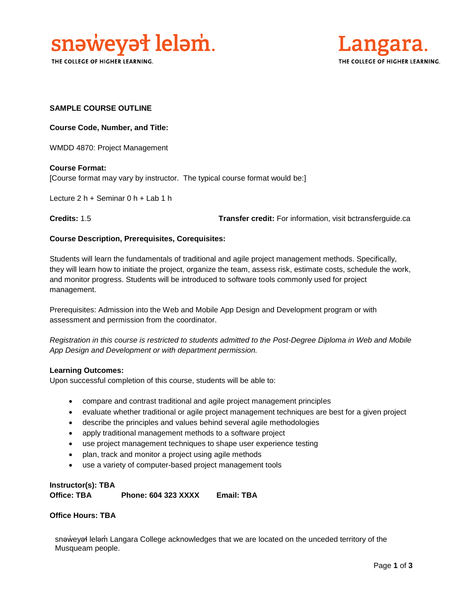

THE COLLEGE OF HIGHER LEARNING.



## **SAMPLE COURSE OUTLINE**

**Course Code, Number, and Title:**

WMDD 4870: Project Management

**Course Format:** [Course format may vary by instructor. The typical course format would be:]

Lecture 2 h + Seminar 0 h + Lab 1 h

**Credits:** 1.5 **Transfer credit:** For information, visit bctransferguide.ca

## **Course Description, Prerequisites, Corequisites:**

Students will learn the fundamentals of traditional and agile project management methods. Specifically, they will learn how to initiate the project, organize the team, assess risk, estimate costs, schedule the work, and monitor progress. Students will be introduced to software tools commonly used for project management.

Prerequisites: Admission into the Web and Mobile App Design and Development program or with assessment and permission from the coordinator.

*Registration in this course is restricted to students admitted to the Post-Degree Diploma in Web and Mobile App Design and Development or with department permission.*

## **Learning Outcomes:**

Upon successful completion of this course, students will be able to:

- compare and contrast traditional and agile project management principles
- evaluate whether traditional or agile project management techniques are best for a given project
- describe the principles and values behind several agile methodologies
- apply traditional management methods to a software project
- use project management techniques to shape user experience testing
- plan, track and monitor a project using agile methods
- use a variety of computer-based project management tools

**Instructor(s): TBA Office: TBA Phone: 604 323 XXXX Email: TBA**

## **Office Hours: TBA**

snəweyał leləm Langara College acknowledges that we are located on the unceded territory of the Musqueam people.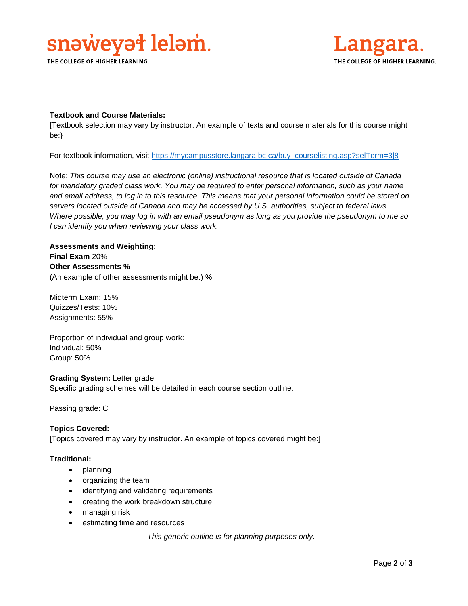

THE COLLEGE OF HIGHER LEARNING.



## **Textbook and Course Materials:**

[Textbook selection may vary by instructor. An example of texts and course materials for this course might be:}

For textbook information, visit [https://mycampusstore.langara.bc.ca/buy\\_courselisting.asp?selTerm=3|8](https://mycampusstore.langara.bc.ca/buy_courselisting.asp?selTerm=3|8)

Note: *This course may use an electronic (online) instructional resource that is located outside of Canada*  for mandatory graded class work. You may be required to enter personal information, such as your name *and email address, to log in to this resource. This means that your personal information could be stored on servers located outside of Canada and may be accessed by U.S. authorities, subject to federal laws. Where possible, you may log in with an email pseudonym as long as you provide the pseudonym to me so I can identify you when reviewing your class work.* 

## **Assessments and Weighting: Final Exam** 20% **Other Assessments %** (An example of other assessments might be:) %

Midterm Exam: 15% Quizzes/Tests: 10% Assignments: 55%

Proportion of individual and group work: Individual: 50% Group: 50%

## **Grading System:** Letter grade

Specific grading schemes will be detailed in each course section outline.

Passing grade: C

## **Topics Covered:**

[Topics covered may vary by instructor. An example of topics covered might be:]

## **Traditional:**

- planning
- organizing the team
- identifying and validating requirements
- creating the work breakdown structure
- managing risk
- estimating time and resources

*This generic outline is for planning purposes only.*